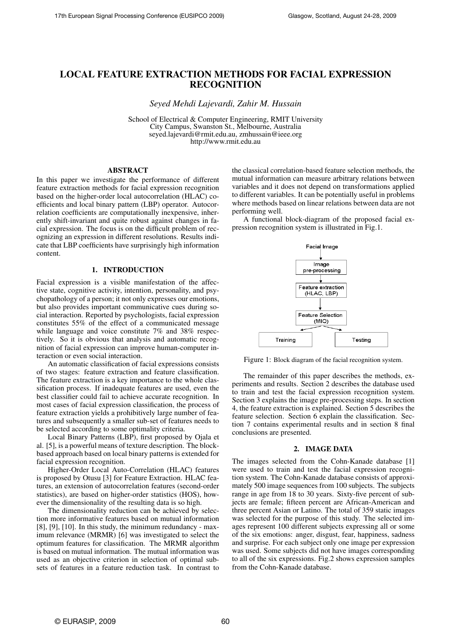# LOCAL FEATURE EXTRACTION METHODS FOR FACIAL EXPRESSION RECOGNITION

*Seyed Mehdi Lajevardi, Zahir M. Hussain*

School of Electrical & Computer Engineering, RMIT University City Campus, Swanston St., Melbourne, Australia seyed.lajevardi@rmit.edu.au, zmhussain@ieee.org http://www.rmit.edu.au

# ABSTRACT

In this paper we investigate the performance of different feature extraction methods for facial expression recognition based on the higher-order local autocorrelation (HLAC) coefficients and local binary pattern (LBP) operator. Autocorrelation coefficients are computationally inexpensive, inherently shift-invariant and quite robust against changes in facial expression. The focus is on the difficult problem of recognizing an expression in different resolutions. Results indicate that LBP coefficients have surprisingly high information content.

# 1. INTRODUCTION

Facial expression is a visible manifestation of the affective state, cognitive activity, intention, personality, and psychopathology of a person; it not only expresses our emotions, but also provides important communicative cues during social interaction. Reported by psychologists, facial expression constitutes 55% of the effect of a communicated message while language and voice constitute 7% and 38% respectively. So it is obvious that analysis and automatic recognition of facial expression can improve human-computer interaction or even social interaction.

An automatic classification of facial expressions consists of two stages: feature extraction and feature classification. The feature extraction is a key importance to the whole classification process. If inadequate features are used, even the best classifier could fail to achieve accurate recognition. In most cases of facial expression classification, the process of feature extraction yields a prohibitively large number of features and subsequently a smaller sub-set of features needs to be selected according to some optimality criteria.

Local Binary Patterns (LBP), first proposed by Ojala et al. [5], is a powerful means of texture description. The blockbased approach based on local binary patterns is extended for facial expression recognition.

Higher-Order Local Auto-Correlation (HLAC) features is proposed by Otusu [3] for Feature Extraction. HLAC features, an extension of autocorrelation features (second-order statistics), are based on higher-order statistics (HOS), however the dimensionality of the resulting data is so high.

The dimensionality reduction can be achieved by selection more informative features based on mutual information [8], [9], [10]. In this study, the minimum redundancy - maximum relevance (MRMR) [6] was investigated to select the optimum features for classification. The MRMR algorithm is based on mutual information. The mutual information was used as an objective criterion in selection of optimal subsets of features in a feature reduction task. In contrast to the classical correlation-based feature selection methods, the mutual information can measure arbitrary relations between variables and it does not depend on transformations applied to different variables. It can be potentially useful in problems where methods based on linear relations between data are not performing well.

A functional block-diagram of the proposed facial expression recognition system is illustrated in Fig.1.



Figure 1: Block diagram of the facial recognition system.

The remainder of this paper describes the methods, experiments and results. Section 2 describes the database used to train and test the facial expression recognition system. Section 3 explains the image pre-processing steps. In section 4, the feature extraction is explained. Section 5 describes the feature selection. Section 6 explain the classification. Section 7 contains experimental results and in section 8 final conclusions are presented.

#### 2. IMAGE DATA

The images selected from the Cohn-Kanade database [1] were used to train and test the facial expression recognition system. The Cohn-Kanade database consists of approximately 500 image sequences from 100 subjects. The subjects range in age from 18 to 30 years. Sixty-five percent of subjects are female; fifteen percent are African-American and three percent Asian or Latino. The total of 359 static images was selected for the purpose of this study. The selected images represent 100 different subjects expressing all or some of the six emotions: anger, disgust, fear, happiness, sadness and surprise. For each subject only one image per expression was used. Some subjects did not have images corresponding to all of the six expressions. Fig.2 shows expression samples from the Cohn-Kanade database.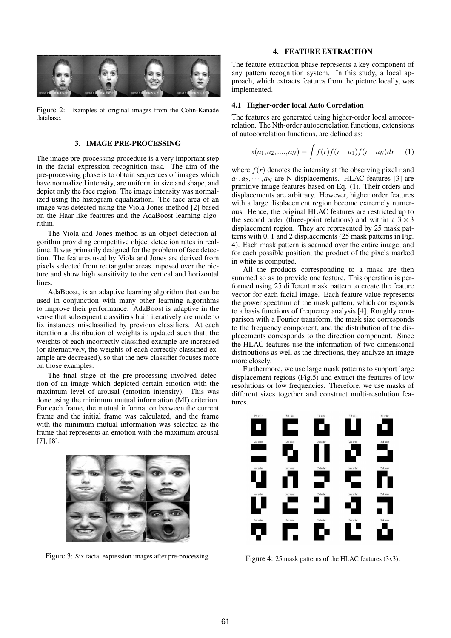

Figure 2: Examples of original images from the Cohn-Kanade database.

# 3. IMAGE PRE-PROCESSING

The image pre-processing procedure is a very important step in the facial expression recognition task. The aim of the pre-processing phase is to obtain sequences of images which have normalized intensity, are uniform in size and shape, and depict only the face region. The image intensity was normalized using the histogram equalization. The face area of an image was detected using the Viola-Jones method [2] based on the Haar-like features and the AdaBoost learning algorithm.

The Viola and Jones method is an object detection algorithm providing competitive object detection rates in realtime. It was primarily designed for the problem of face detection. The features used by Viola and Jones are derived from pixels selected from rectangular areas imposed over the picture and show high sensitivity to the vertical and horizontal lines.

AdaBoost, is an adaptive learning algorithm that can be used in conjunction with many other learning algorithms to improve their performance. AdaBoost is adaptive in the sense that subsequent classifiers built iteratively are made to fix instances misclassified by previous classifiers. At each iteration a distribution of weights is updated such that, the weights of each incorrectly classified example are increased (or alternatively, the weights of each correctly classified example are decreased), so that the new classifier focuses more on those examples.

The final stage of the pre-processing involved detection of an image which depicted certain emotion with the maximum level of arousal (emotion intensity). This was done using the minimum mutual information (MI) criterion. For each frame, the mutual information between the current frame and the initial frame was calculated, and the frame with the minimum mutual information was selected as the frame that represents an emotion with the maximum arousal [7], [8].



Figure 3: Six facial expression images after pre-processing.

## 4. FEATURE EXTRACTION

The feature extraction phase represents a key component of any pattern recognition system. In this study, a local approach, which extracts features from the picture locally, was implemented.

# 4.1 Higher-order local Auto Correlation

The features are generated using higher-order local autocorrelation. The Nth-order autocorrelation functions, extensions of autocorrelation functions, are defined as:

$$
x(a_1, a_2, \dots, a_N) = \int f(r)f(r+a_1)f(r+a_N)dr \qquad (1)
$$

where  $f(r)$  denotes the intensity at the observing pixel r, and  $a_1, a_2, \cdots, a_N$  are N displacements. HLAC features [3] are primitive image features based on Eq. (1). Their orders and displacements are arbitrary. However, higher order features with a large displacement region become extremely numerous. Hence, the original HLAC features are restricted up to the second order (three-point relations) and within a  $3 \times 3$ displacement region. They are represented by 25 mask patterns with 0, 1 and 2 displacements (25 mask patterns in Fig. 4). Each mask pattern is scanned over the entire image, and for each possible position, the product of the pixels marked in white is computed.

All the products corresponding to a mask are then summed so as to provide one feature. This operation is performed using 25 different mask pattern to create the feature vector for each facial image. Each feature value represents the power spectrum of the mask pattern, which corresponds to a basis functions of frequency analysis [4]. Roughly comparison with a Fourier transform, the mask size corresponds to the frequency component, and the distribution of the displacements corresponds to the direction component. Since the HLAC features use the information of two-dimensional distributions as well as the directions, they analyze an image more closely.

Furthermore, we use large mask patterns to support large displacement regions (Fig.5) and extract the features of low resolutions or low frequencies. Therefore, we use masks of different sizes together and construct multi-resolution features.



Figure 4: 25 mask patterns of the HLAC features (3x3).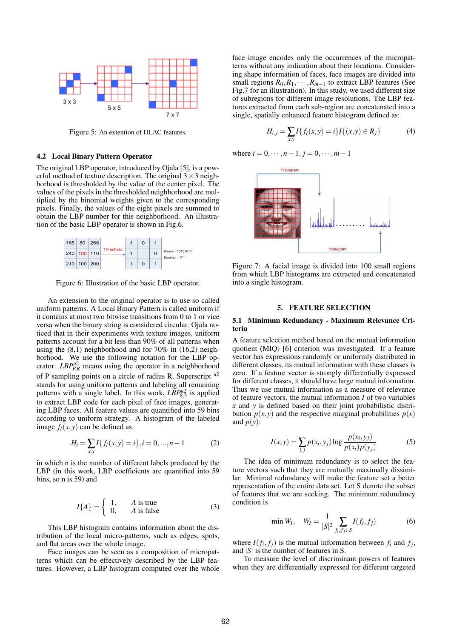

Figure 5: An extention of HLAC features.

### 4.2 Local Binary Pattern Operator

The original LBP operator, introduced by Ojala [5], is a powerful method of texture description. The original  $3 \times 3$  neighborhood is thresholded by the value of the center pixel. The values of the pixels in the thresholded neighborhood are multiplied by the binomial weights given to the corresponding pixels. Finally, the values of the eight pixels are summed to obtain the LBP number for this neighborhood. An illustration of the basic LBP operator is shown in Fig.6.



Figure 6: Illustration of the basic LBP operator.

An extension to the original operator is to use so called uniform patterns. A Local Binary Pattern is called uniform if it contains at most two bitwise transitions from 0 to 1 or vice versa when the binary string is considered circular. Ojala noticed that in their experiments with texture images, uniform patterns account for a bit less than 90% of all patterns when using the  $(8,1)$  neighborhood and for 70% in  $(16,2)$  neighborhood. We use the following notation for the LBP operator:  $LBP_{P,R}^{u2}$  means using the operator in a neighborhood of P sampling points on a circle of radius R. Superscript *<sup>u</sup>*<sup>2</sup> stands for using uniform patterns and labeling all remaining patterns with a single label. In this work,  $\overline{LBP_{8,2}^{u2}}$  is applied to extract LBP code for each pixel of face images, generating LBP faces. All feature values are quantified into 59 bins according to uniform strategy. A histogram of the labeled image  $f_l(x, y)$  can be defined as:

$$
H_i = \sum_{x,y} I\{f_l(x,y) = i\}, i = 0, ..., n-1
$$
 (2)

in which n is the number of different labels produced by the LBP (in this work, LBP coefficients are quantified into 59 bins, so n is 59) and

$$
I{A} = \begin{cases} 1, & A \text{ is true} \\ 0, & A \text{ is false} \end{cases}
$$
 (3)

This LBP histogram contains information about the distribution of the local micro-patterns, such as edges, spots, and flat areas over the whole image.

Face images can be seen as a composition of micropatterns which can be effectively described by the LBP features. However, a LBP histogram computed over the whole face image encodes only the occurrences of the micropatterns without any indication about their locations. Considering shape information of faces, face images are divided into small regions  $R_0, R_1, \cdots, R_{m-1}$  to extract LBP features (See Fig.7 for an illustration). In this study, we used different size of subregions for different image resolutions. The LBP features extracted from each sub-region are concatenated into a single, spatially enhanced feature histogram defined as:

$$
H_{i,j} = \sum_{x,y} I\{f_l(x,y) = i\} I\{(x,y) \in R_j\}
$$
 (4)

where  $i = 0, \dots, n-1, j = 0, \dots, m-1$ 



Figure 7: A facial image is divided into 100 small regions from which LBP histograms are extracted and concatenated into a single histogram.

#### 5. FEATURE SELECTION

# 5.1 Minimum Redundancy - Maximum Relevance Criteria

A feature selection method based on the mutual information quotient (MIQ) [6] criterion was investigated. If a feature vector has expressions randomly or uniformly distributed in different classes, its mutual information with these classes is zero. If a feature vector is strongly differentially expressed for different classes, it should have large mutual information. Thus we use mutual information as a measure of relevance of feature vectors. the mutual information *I* of two variables *x* and *y* is defined based on their joint probabilistic distribution  $p(x, y)$  and the respective marginal probabilities  $p(x)$ and  $p(y)$ :

$$
I(x; y) = \sum_{i,j} p(x_i, y_j) \log \frac{p(x_i, y_j)}{p(x_i) p(y_j)}
$$
(5)

The idea of minimum redundancy is to select the feature vectors such that they are mutually maximally dissimilar. Minimal redundancy will make the feature set a better representation of the entire data set. Let S denote the subset of features that we are seeking. The minimum redundancy condition is

$$
\min W_I, \quad W_I = \frac{1}{|S|^2} \sum_{f_i, f_j \in S} I(f_i, f_j) \tag{6}
$$

where  $I(f_i, f_j)$  is the mutual information between  $f_i$  and  $f_j$ , and  $|S|$  is the number of features in S.

To measure the level of discriminant powers of features when they are differentially expressed for different targeted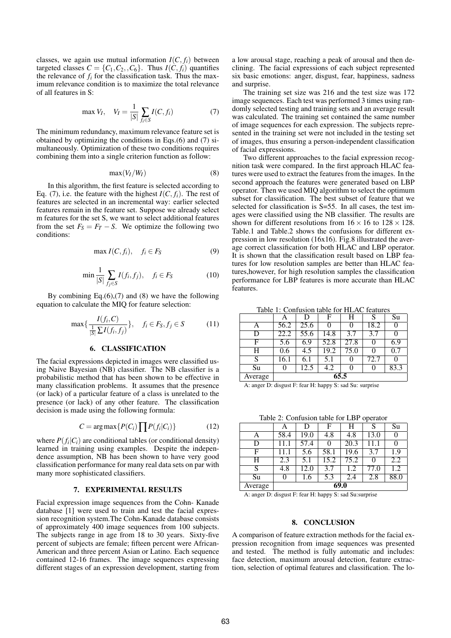classes, we again use mutual information  $I(C, f_i)$  between targeted classes  $C = \{C_1, C_2, C_6\}$ . Thus  $I(C, f_i)$  quantifies the relevance of  $f_i$  for the classification task. Thus the maximum relevance condition is to maximize the total relevance of all features in S:

$$
\max V_I, \quad V_I = \frac{1}{|S|} \sum_{f_i \in S} I(C, f_i)
$$
 (7)

The minimum redundancy, maximum relevance feature set is obtained by optimizing the conditions in Eqs.(6) and (7) simultaneously. Optimization of these two conditions requires combining them into a single criterion function as follow:

$$
\max(V_I/W_I) \tag{8}
$$

In this algorithm, the first feature is selected according to Eq. (7), i.e. the feature with the highest  $I(C, f_i)$ . The rest of features are selected in an incremental way: earlier selected features remain in the feature set. Suppose we already select m features for the set S, we want to select additional features from the set  $F_S = F_T - S$ . We optimize the following two conditions:

$$
\max I(C, f_i), \quad f_i \in F_S \tag{9}
$$

$$
\min \frac{1}{|S|} \sum_{f_j \in S} I(f_i, f_j), \quad f_i \in F_S \tag{10}
$$

By combining  $Eq.(6),(7)$  and  $(8)$  we have the following equation to calculate the MIQ for feature selection:

$$
\max\{\frac{I(f_i, C)}{\frac{1}{|S|}\sum I(f_i, f_j)}\}, \quad f_i \in F_S, f_j \in S \tag{11}
$$

# 6. CLASSIFICATION

The facial expressions depicted in images were classified using Naive Bayesian (NB) classifier. The NB classifier is a probabilistic method that has been shown to be effective in many classification problems. It assumes that the presence (or lack) of a particular feature of a class is unrelated to the presence (or lack) of any other feature. The classification decision is made using the following formula:

$$
C = \arg \max \{ P(C_i) \prod P(f_i|C_i) \} \tag{12}
$$

where  $P(f_i|C_i)$  are conditional tables (or conditional density) learned in training using examples. Despite the independence assumption, NB has been shown to have very good classification performance for many real data sets on par with many more sophisticated classifiers.

# 7. EXPERIMENTAL RESULTS

Facial expression image sequences from the Cohn- Kanade database [1] were used to train and test the facial expression recognition system.The Cohn-Kanade database consists of approximately 400 image sequences from 100 subjects. The subjects range in age from 18 to 30 years. Sixty-five percent of subjects are female; fifteen percent were African-American and three percent Asian or Latino. Each sequence contained 12-16 frames. The image sequences expressing different stages of an expression development, starting from a low arousal stage, reaching a peak of arousal and then declining. The facial expressions of each subject represented six basic emotions: anger, disgust, fear, happiness, sadness and surprise.

The training set size was 216 and the test size was 172 image sequences. Each test was performed 3 times using randomly selected testing and training sets and an average result was calculated. The training set contained the same number of image sequences for each expression. The subjects represented in the training set were not included in the testing set of images, thus ensuring a person-independent classification of facial expressions.

Two different approaches to the facial expression recognition task were compared. In the first approach HLAC features were used to extract the features from the images. In the second approach the features were generated based on LBP operator. Then we used MIQ algorithm to select the optimum subset for classification. The best subset of feature that we selected for classification is S=55. In all cases, the test images were classified using the NB classifier. The results are shown for different resolutions from  $16 \times 16$  to  $128 \times 128$ . Table.1 and Table.2 shows the confusions for different expression in low resolution (16x16). Fig.8 illustrated the average correct classification for both HLAC and LBP operator. It is shown that the classification result based on LBP features for low resolution samples are better than HLAC features,however, for high resolution samples the classification performance for LBP features is more accurate than HLAC features.

Table 1: Confusion table for HLAC features

|         | А    | D    | F    | Η    | S    | Su   |  |
|---------|------|------|------|------|------|------|--|
| Α       | 56.2 | 25.6 |      |      | 18.2 |      |  |
| D       | 22.2 | 55.6 | 14.8 | 3.7  | 3.7  |      |  |
| F       | 5.6  | 6.9  | 52.8 | 27.8 |      | 6.9  |  |
| Н       | 0.6  | 4.5  | 19.2 | 75.0 |      | 0.7  |  |
| S       | 16.1 | 6.1  | 5.1  |      | 72.7 |      |  |
| Su      | 0    | 12.5 | 4.2  | 0    | 0    | 83.3 |  |
| Average | 65.5 |      |      |      |      |      |  |

A: anger D: disgust F: fear H: happy S: sad Su: surprise

Table 2: Confusion table for LBP operator

|         | Α    | D    | F    | Н    | S    | Su   |  |
|---------|------|------|------|------|------|------|--|
| A       | 58.4 | 19.0 | 4.8  | 4.8  | 13.0 | 0    |  |
| D       | 11.1 | 57.4 | 0    | 20.3 | 11.1 | 0    |  |
| F       | 11.1 | 5.6  | 58.1 | 19.6 | 3.7  | 1.9  |  |
| Η       | 2.3  | 5.1  | 15.2 | 75.2 | 0    | 2.2  |  |
| S       | 4.8  | 12.0 | 3.7  | 1.2  | 77.0 | 1.2  |  |
| Su      | 0    | 1.6  | 5.3  | 2.4  | 2.8  | 88.0 |  |
| Average | 69.0 |      |      |      |      |      |  |

A: anger D: disgust F: fear H: happy S: sad Su:surprise

#### 8. CONCLUSION

A comparison of feature extraction methods for the facial expression recognition from image sequences was presented and tested. The method is fully automatic and includes: face detection, maximum arousal detection, feature extraction, selection of optimal features and classification. The lo-